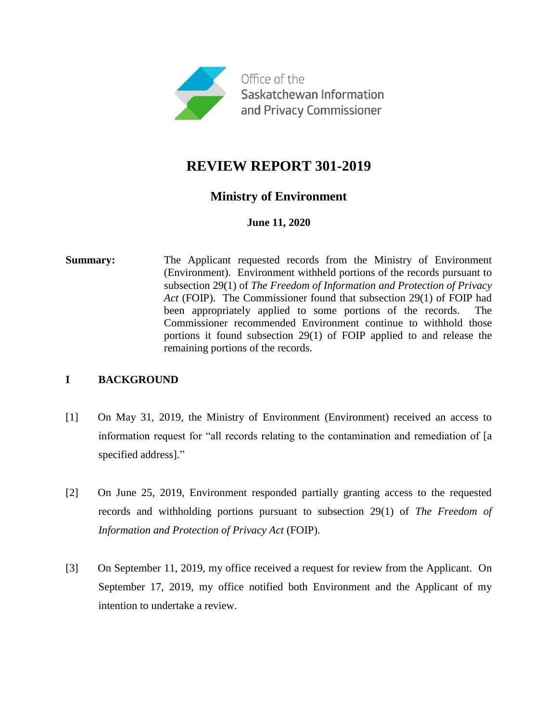

## **REVIEW REPORT 301-2019**

## **Ministry of Environment**

## **June 11, 2020**

**Summary:** The Applicant requested records from the Ministry of Environment (Environment). Environment withheld portions of the records pursuant to subsection 29(1) of *The Freedom of Information and Protection of Privacy Act* (FOIP). The Commissioner found that subsection 29(1) of FOIP had been appropriately applied to some portions of the records. The Commissioner recommended Environment continue to withhold those portions it found subsection 29(1) of FOIP applied to and release the remaining portions of the records.

## **I BACKGROUND**

- [1] On May 31, 2019, the Ministry of Environment (Environment) received an access to information request for "all records relating to the contamination and remediation of [a specified address]."
- [2] On June 25, 2019, Environment responded partially granting access to the requested records and withholding portions pursuant to subsection 29(1) of *The Freedom of Information and Protection of Privacy Act* (FOIP).
- [3] On September 11, 2019, my office received a request for review from the Applicant. On September 17, 2019, my office notified both Environment and the Applicant of my intention to undertake a review.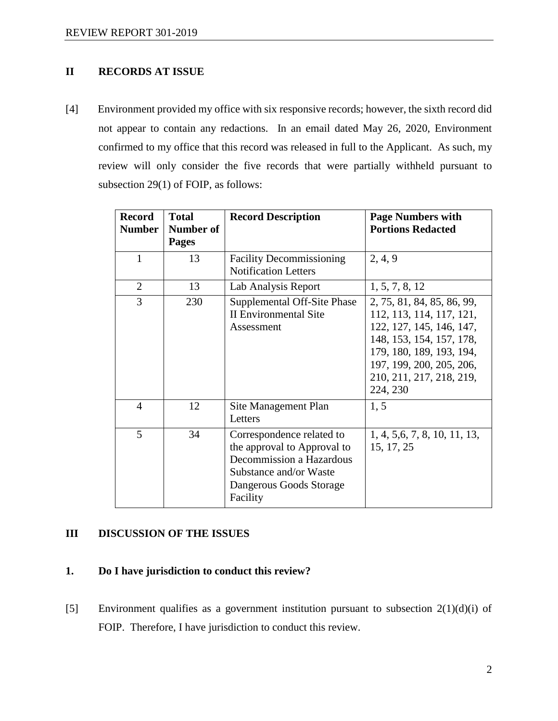## **II RECORDS AT ISSUE**

[4] Environment provided my office with six responsive records; however, the sixth record did not appear to contain any redactions. In an email dated May 26, 2020, Environment confirmed to my office that this record was released in full to the Applicant. As such, my review will only consider the five records that were partially withheld pursuant to subsection 29(1) of FOIP, as follows:

| <b>Record</b><br><b>Number</b> | <b>Total</b><br>Number of<br><b>Pages</b> | <b>Record Description</b>                                                                                                                             | <b>Page Numbers with</b><br><b>Portions Redacted</b>                                                                                                                                                           |
|--------------------------------|-------------------------------------------|-------------------------------------------------------------------------------------------------------------------------------------------------------|----------------------------------------------------------------------------------------------------------------------------------------------------------------------------------------------------------------|
| $\mathbf{1}$                   | 13                                        | <b>Facility Decommissioning</b><br><b>Notification Letters</b>                                                                                        | 2, 4, 9                                                                                                                                                                                                        |
| $\overline{2}$                 | 13                                        | Lab Analysis Report                                                                                                                                   | 1, 5, 7, 8, 12                                                                                                                                                                                                 |
| 3                              | 230                                       | Supplemental Off-Site Phase<br><b>II Environmental Site</b><br>Assessment                                                                             | 2, 75, 81, 84, 85, 86, 99,<br>112, 113, 114, 117, 121,<br>122, 127, 145, 146, 147,<br>148, 153, 154, 157, 178,<br>179, 180, 189, 193, 194,<br>197, 199, 200, 205, 206,<br>210, 211, 217, 218, 219,<br>224, 230 |
| $\overline{4}$                 | 12                                        | Site Management Plan<br><b>Letters</b>                                                                                                                | 1, 5                                                                                                                                                                                                           |
| 5                              | 34                                        | Correspondence related to<br>the approval to Approval to<br>Decommission a Hazardous<br>Substance and/or Waste<br>Dangerous Goods Storage<br>Facility | 1, 4, 5, 6, 7, 8, 10, 11, 13,<br>15, 17, 25                                                                                                                                                                    |

### **III DISCUSSION OF THE ISSUES**

#### **1. Do I have jurisdiction to conduct this review?**

[5] Environment qualifies as a government institution pursuant to subsection 2(1)(d)(i) of FOIP. Therefore, I have jurisdiction to conduct this review.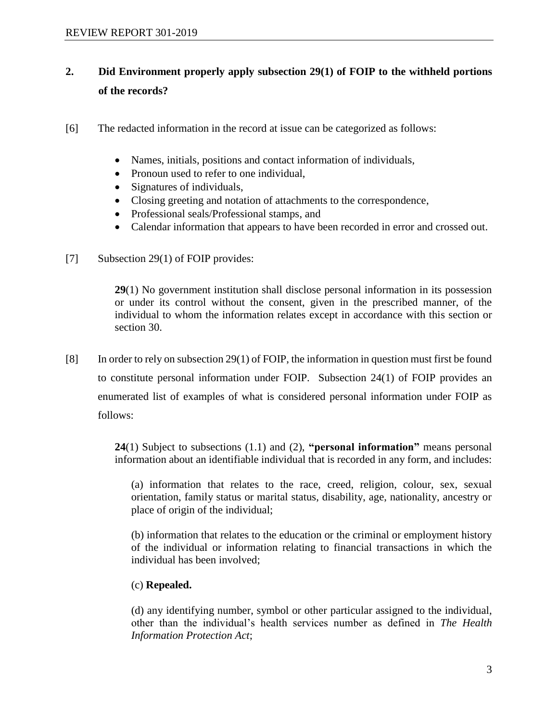# **2. Did Environment properly apply subsection 29(1) of FOIP to the withheld portions of the records?**

- [6] The redacted information in the record at issue can be categorized as follows:
	- Names, initials, positions and contact information of individuals,
	- Pronoun used to refer to one individual,
	- Signatures of individuals,
	- Closing greeting and notation of attachments to the correspondence,
	- Professional seals/Professional stamps, and
	- Calendar information that appears to have been recorded in error and crossed out.
- [7] Subsection 29(1) of FOIP provides:

**29**(1) No government institution shall disclose personal information in its possession or under its control without the consent, given in the prescribed manner, of the individual to whom the information relates except in accordance with this section or section 30.

[8] In order to rely on subsection 29(1) of FOIP, the information in question must first be found to constitute personal information under FOIP. Subsection 24(1) of FOIP provides an enumerated list of examples of what is considered personal information under FOIP as follows:

> **24**(1) Subject to subsections (1.1) and (2), **"personal information"** means personal information about an identifiable individual that is recorded in any form, and includes:

(a) information that relates to the race, creed, religion, colour, sex, sexual orientation, family status or marital status, disability, age, nationality, ancestry or place of origin of the individual;

(b) information that relates to the education or the criminal or employment history of the individual or information relating to financial transactions in which the individual has been involved;

## (c) **Repealed.**

(d) any identifying number, symbol or other particular assigned to the individual, other than the individual's health services number as defined in *The Health Information Protection Act*;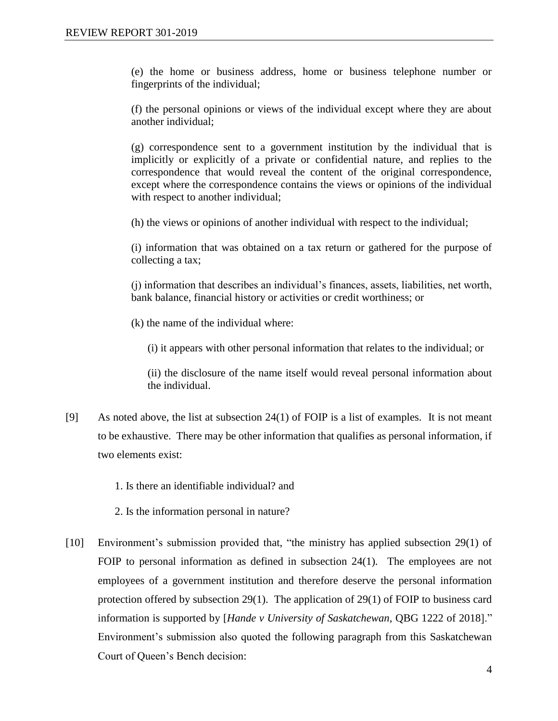(e) the home or business address, home or business telephone number or fingerprints of the individual;

(f) the personal opinions or views of the individual except where they are about another individual;

(g) correspondence sent to a government institution by the individual that is implicitly or explicitly of a private or confidential nature, and replies to the correspondence that would reveal the content of the original correspondence, except where the correspondence contains the views or opinions of the individual with respect to another individual:

(h) the views or opinions of another individual with respect to the individual;

(i) information that was obtained on a tax return or gathered for the purpose of collecting a tax;

(j) information that describes an individual's finances, assets, liabilities, net worth, bank balance, financial history or activities or credit worthiness; or

(k) the name of the individual where:

(i) it appears with other personal information that relates to the individual; or

(ii) the disclosure of the name itself would reveal personal information about the individual.

- [9] As noted above, the list at subsection  $24(1)$  of FOIP is a list of examples. It is not meant to be exhaustive. There may be other information that qualifies as personal information, if two elements exist:
	- 1. Is there an identifiable individual? and
	- 2. Is the information personal in nature?
- [10] Environment's submission provided that, "the ministry has applied subsection 29(1) of FOIP to personal information as defined in subsection 24(1). The employees are not employees of a government institution and therefore deserve the personal information protection offered by subsection 29(1). The application of 29(1) of FOIP to business card information is supported by [*Hande v University of Saskatchewan*, QBG 1222 of 2018]." Environment's submission also quoted the following paragraph from this Saskatchewan Court of Queen's Bench decision: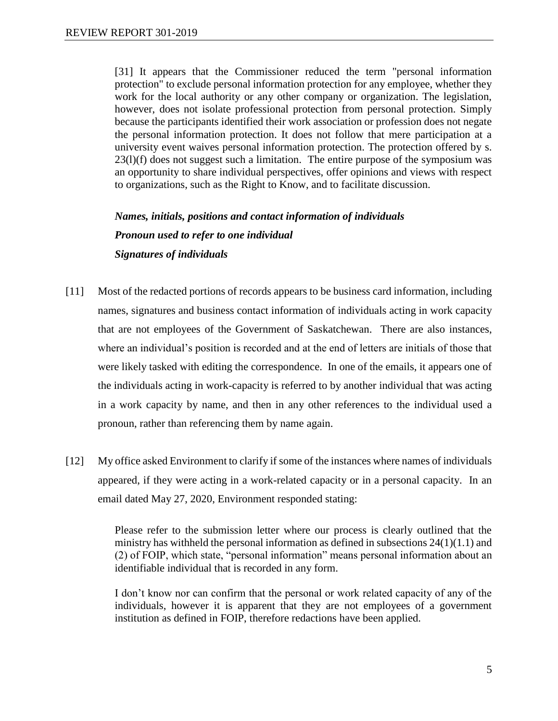[31] It appears that the Commissioner reduced the term "personal information protection" to exclude personal information protection for any employee, whether they work for the local authority or any other company or organization. The legislation, however, does not isolate professional protection from personal protection. Simply because the participants identified their work association or profession does not negate the personal information protection. It does not follow that mere participation at a university event waives personal information protection. The protection offered by s. 23(l)(f) does not suggest such a limitation. The entire purpose of the symposium was an opportunity to share individual perspectives, offer opinions and views with respect to organizations, such as the Right to Know, and to facilitate discussion.

*Names, initials, positions and contact information of individuals Pronoun used to refer to one individual Signatures of individuals*

- [11] Most of the redacted portions of records appears to be business card information, including names, signatures and business contact information of individuals acting in work capacity that are not employees of the Government of Saskatchewan. There are also instances, where an individual's position is recorded and at the end of letters are initials of those that were likely tasked with editing the correspondence. In one of the emails, it appears one of the individuals acting in work-capacity is referred to by another individual that was acting in a work capacity by name, and then in any other references to the individual used a pronoun, rather than referencing them by name again.
- [12] My office asked Environment to clarify if some of the instances where names of individuals appeared, if they were acting in a work-related capacity or in a personal capacity. In an email dated May 27, 2020, Environment responded stating:

Please refer to the submission letter where our process is clearly outlined that the ministry has withheld the personal information as defined in subsections  $24(1)(1.1)$  and (2) of FOIP, which state, "personal information" means personal information about an identifiable individual that is recorded in any form.

I don't know nor can confirm that the personal or work related capacity of any of the individuals, however it is apparent that they are not employees of a government institution as defined in FOIP, therefore redactions have been applied.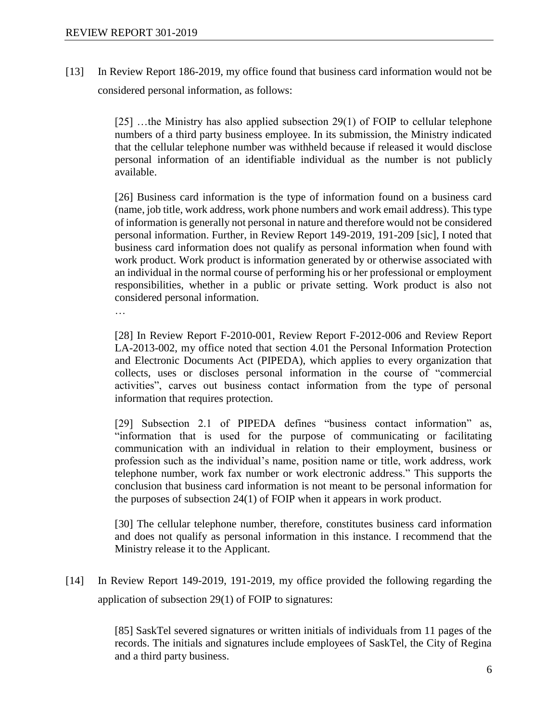[13] In Review Report 186-2019, my office found that business card information would not be considered personal information, as follows:

> [25] …the Ministry has also applied subsection 29(1) of FOIP to cellular telephone numbers of a third party business employee. In its submission, the Ministry indicated that the cellular telephone number was withheld because if released it would disclose personal information of an identifiable individual as the number is not publicly available.

> [26] Business card information is the type of information found on a business card (name, job title, work address, work phone numbers and work email address). This type of information is generally not personal in nature and therefore would not be considered personal information. Further, in Review Report 149-2019, 191-209 [sic], I noted that business card information does not qualify as personal information when found with work product. Work product is information generated by or otherwise associated with an individual in the normal course of performing his or her professional or employment responsibilities, whether in a public or private setting. Work product is also not considered personal information.

…

[28] In Review Report F-2010-001, Review Report F-2012-006 and Review Report LA-2013-002, my office noted that section 4.01 the Personal Information Protection and Electronic Documents Act (PIPEDA), which applies to every organization that collects, uses or discloses personal information in the course of "commercial activities", carves out business contact information from the type of personal information that requires protection.

[29] Subsection 2.1 of PIPEDA defines "business contact information" as, "information that is used for the purpose of communicating or facilitating communication with an individual in relation to their employment, business or profession such as the individual's name, position name or title, work address, work telephone number, work fax number or work electronic address." This supports the conclusion that business card information is not meant to be personal information for the purposes of subsection 24(1) of FOIP when it appears in work product.

[30] The cellular telephone number, therefore, constitutes business card information and does not qualify as personal information in this instance. I recommend that the Ministry release it to the Applicant.

[14] In Review Report 149-2019, 191-2019, my office provided the following regarding the application of subsection 29(1) of FOIP to signatures:

> [85] SaskTel severed signatures or written initials of individuals from 11 pages of the records. The initials and signatures include employees of SaskTel, the City of Regina and a third party business.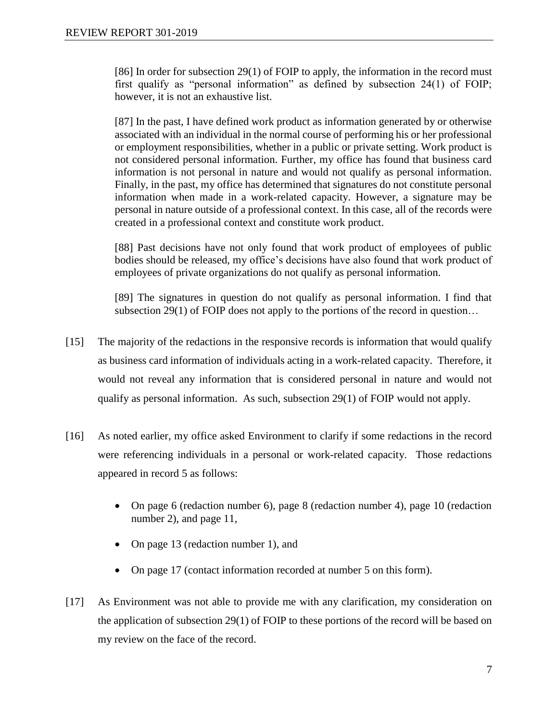[86] In order for subsection 29(1) of FOIP to apply, the information in the record must first qualify as "personal information" as defined by subsection 24(1) of FOIP; however, it is not an exhaustive list.

[87] In the past, I have defined work product as information generated by or otherwise associated with an individual in the normal course of performing his or her professional or employment responsibilities, whether in a public or private setting. Work product is not considered personal information. Further, my office has found that business card information is not personal in nature and would not qualify as personal information. Finally, in the past, my office has determined that signatures do not constitute personal information when made in a work-related capacity. However, a signature may be personal in nature outside of a professional context. In this case, all of the records were created in a professional context and constitute work product.

[88] Past decisions have not only found that work product of employees of public bodies should be released, my office's decisions have also found that work product of employees of private organizations do not qualify as personal information.

[89] The signatures in question do not qualify as personal information. I find that subsection 29(1) of FOIP does not apply to the portions of the record in question...

- [15] The majority of the redactions in the responsive records is information that would qualify as business card information of individuals acting in a work-related capacity. Therefore, it would not reveal any information that is considered personal in nature and would not qualify as personal information. As such, subsection 29(1) of FOIP would not apply.
- [16] As noted earlier, my office asked Environment to clarify if some redactions in the record were referencing individuals in a personal or work-related capacity. Those redactions appeared in record 5 as follows:
	- On page 6 (redaction number 6), page 8 (redaction number 4), page 10 (redaction number 2), and page 11,
	- On page 13 (redaction number 1), and
	- On page 17 (contact information recorded at number 5 on this form).
- [17] As Environment was not able to provide me with any clarification, my consideration on the application of subsection 29(1) of FOIP to these portions of the record will be based on my review on the face of the record.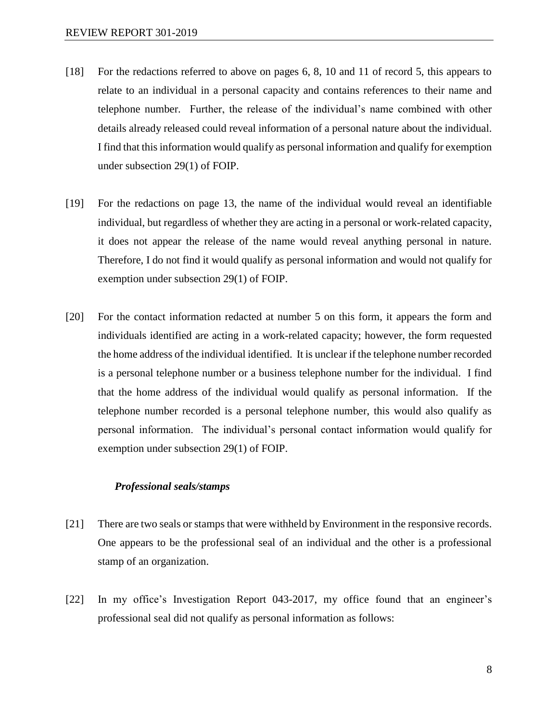- [18] For the redactions referred to above on pages 6, 8, 10 and 11 of record 5, this appears to relate to an individual in a personal capacity and contains references to their name and telephone number. Further, the release of the individual's name combined with other details already released could reveal information of a personal nature about the individual. I find that thisinformation would qualify as personal information and qualify for exemption under subsection 29(1) of FOIP.
- [19] For the redactions on page 13, the name of the individual would reveal an identifiable individual, but regardless of whether they are acting in a personal or work-related capacity, it does not appear the release of the name would reveal anything personal in nature. Therefore, I do not find it would qualify as personal information and would not qualify for exemption under subsection 29(1) of FOIP.
- [20] For the contact information redacted at number 5 on this form, it appears the form and individuals identified are acting in a work-related capacity; however, the form requested the home address of the individual identified. It is unclear if the telephone number recorded is a personal telephone number or a business telephone number for the individual. I find that the home address of the individual would qualify as personal information. If the telephone number recorded is a personal telephone number, this would also qualify as personal information. The individual's personal contact information would qualify for exemption under subsection 29(1) of FOIP.

#### *Professional seals/stamps*

- [21] There are two seals or stamps that were withheld by Environment in the responsive records. One appears to be the professional seal of an individual and the other is a professional stamp of an organization.
- [22] In my office's Investigation Report 043-2017, my office found that an engineer's professional seal did not qualify as personal information as follows: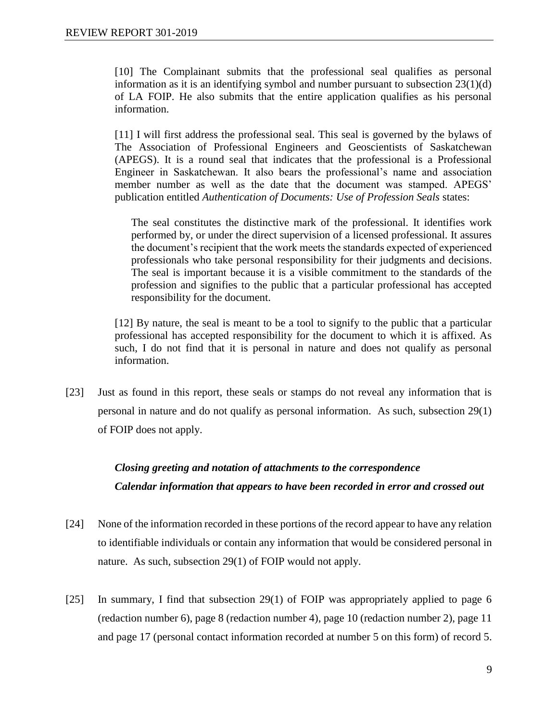[10] The Complainant submits that the professional seal qualifies as personal information as it is an identifying symbol and number pursuant to subsection 23(1)(d) of LA FOIP. He also submits that the entire application qualifies as his personal information.

[11] I will first address the professional seal. This seal is governed by the bylaws of The Association of Professional Engineers and Geoscientists of Saskatchewan (APEGS). It is a round seal that indicates that the professional is a Professional Engineer in Saskatchewan. It also bears the professional's name and association member number as well as the date that the document was stamped. APEGS' publication entitled *Authentication of Documents: Use of Profession Seals* states:

The seal constitutes the distinctive mark of the professional. It identifies work performed by, or under the direct supervision of a licensed professional. It assures the document's recipient that the work meets the standards expected of experienced professionals who take personal responsibility for their judgments and decisions. The seal is important because it is a visible commitment to the standards of the profession and signifies to the public that a particular professional has accepted responsibility for the document.

[12] By nature, the seal is meant to be a tool to signify to the public that a particular professional has accepted responsibility for the document to which it is affixed. As such, I do not find that it is personal in nature and does not qualify as personal information.

[23] Just as found in this report, these seals or stamps do not reveal any information that is personal in nature and do not qualify as personal information. As such, subsection 29(1) of FOIP does not apply.

# *Closing greeting and notation of attachments to the correspondence Calendar information that appears to have been recorded in error and crossed out*

- [24] None of the information recorded in these portions of the record appear to have any relation to identifiable individuals or contain any information that would be considered personal in nature. As such, subsection 29(1) of FOIP would not apply.
- [25] In summary, I find that subsection 29(1) of FOIP was appropriately applied to page 6 (redaction number 6), page 8 (redaction number 4), page 10 (redaction number 2), page 11 and page 17 (personal contact information recorded at number 5 on this form) of record 5.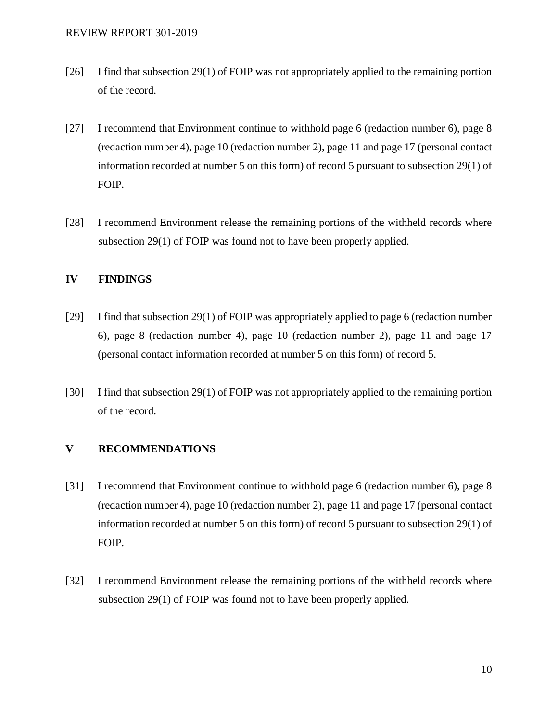- [26] I find that subsection 29(1) of FOIP was not appropriately applied to the remaining portion of the record.
- [27] I recommend that Environment continue to withhold page 6 (redaction number 6), page 8 (redaction number 4), page 10 (redaction number 2), page 11 and page 17 (personal contact information recorded at number 5 on this form) of record 5 pursuant to subsection 29(1) of FOIP.
- [28] I recommend Environment release the remaining portions of the withheld records where subsection 29(1) of FOIP was found not to have been properly applied.

#### **IV FINDINGS**

- [29] I find that subsection 29(1) of FOIP was appropriately applied to page 6 (redaction number 6), page 8 (redaction number 4), page 10 (redaction number 2), page 11 and page 17 (personal contact information recorded at number 5 on this form) of record 5.
- [30] I find that subsection 29(1) of FOIP was not appropriately applied to the remaining portion of the record.

### **V RECOMMENDATIONS**

- [31] I recommend that Environment continue to withhold page 6 (redaction number 6), page 8 (redaction number 4), page 10 (redaction number 2), page 11 and page 17 (personal contact information recorded at number 5 on this form) of record 5 pursuant to subsection 29(1) of FOIP.
- [32] I recommend Environment release the remaining portions of the withheld records where subsection 29(1) of FOIP was found not to have been properly applied.